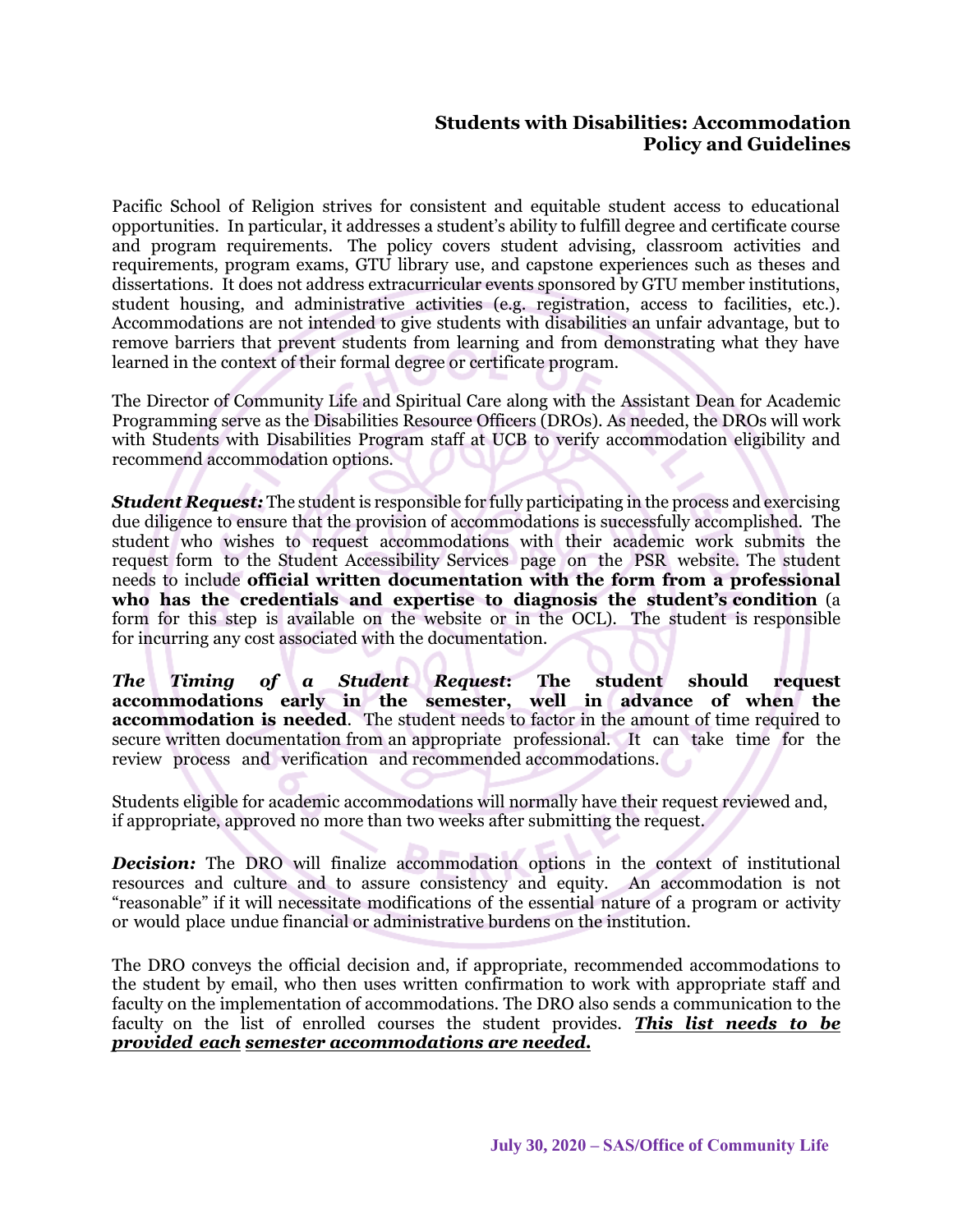## **Students with Disabilities: Accommodation Policy and Guidelines**

Pacific School of Religion strives for consistent and equitable student access to educational opportunities. In particular, it addresses a student's ability to fulfill degree and certificate course and program requirements. The policy covers student advising, classroom activities and requirements, program exams, GTU library use, and capstone experiences such as theses and dissertations. It does not address extracurricular events sponsored by GTU member institutions, student housing, and administrative activities (e.g. registration, access to facilities, etc.). Accommodations are not intended to give students with disabilities an unfair advantage, but to remove barriers that prevent students from learning and from demonstrating what they have learned in the context of their formal degree or certificate program.

The Director of Community Life and Spiritual Care along with the Assistant Dean for Academic Programming serve as the Disabilities Resource Officers (DROs). As needed, the DROs will work with Students with Disabilities Program staff at UCB to verify accommodation eligibility and recommend accommodation options.

*Student Request:* The student is responsible for fully participating in the process and exercising due diligence to ensure that the provision of accommodations is successfully accomplished. The student who wishes to request accommodations with their academic work submits the request form to the Student Accessibility Services page on the PSR website. The student needs to include **official written documentation with the form from a professional who has the credentials and expertise to diagnosis the student's condition** (a form for this step is available on the website or in the OCL). The student is responsible for incurring any cost associated with the documentation.

*The Timing of a Student Request***: The student should request accommodations early in the semester, well in advance of when the accommodation is needed**. The student needs to factor in the amount of time required to secure written documentation from an appropriate professional. It can take time for the review process and verification and recommended accommodations.

Students eligible for academic accommodations will normally have their request reviewed and, if appropriate, approved no more than two weeks after submitting the request.

**Decision:** The DRO will finalize accommodation options in the context of institutional resources and culture and to assure consistency and equity. An accommodation is not "reasonable" if it will necessitate modifications of the essential nature of a program or activity or would place undue financial or administrative burdens on the institution.

The DRO conveys the official decision and, if appropriate, recommended accommodations to the student by email, who then uses written confirmation to work with appropriate staff and faculty on the implementation of accommodations. The DRO also sends a communication to the faculty on the list of enrolled courses the student provides. *This list needs to be provided each semester accommodations are needed.*